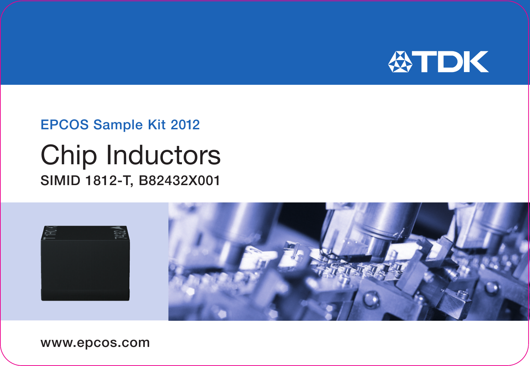

## EPCOS Sample Kit 2012

## Chip Inductors SIMID 1812-T, B82432X001



www.epcos.com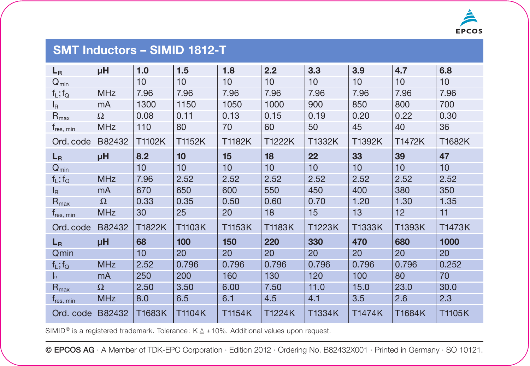

## **SMT Inductors – SIMID 1812-T**

| $L_R$                     | μH             | 1.0    | 1.5    | 1.8    | 2.2    | 3.3    | 3.9    | 4.7    | 6.8    |
|---------------------------|----------------|--------|--------|--------|--------|--------|--------|--------|--------|
| $Q_{min}$                 |                | 10     | 10     | 10     | 10     | 10     | 10     | 10     | 10     |
| $f_L$ ; $f_Q$             | <b>MHz</b>     | 7.96   | 7.96   | 7.96   | 7.96   | 7.96   | 7.96   | 7.96   | 7.96   |
| l <sub>R</sub>            | mA             | 1300   | 1150   | 1050   | 1000   | 900    | 850    | 800    | 700    |
| $R_{\text{max}}$          | Ω              | 0.08   | 0.11   | 0.13   | 0.15   | 0.19   | 0.20   | 0.22   | 0.30   |
| $t_{res, min}$            | <b>MHz</b>     | 110    | 80     | 70     | 60     | 50     | 45     | 40     | 36     |
| Ord. code                 | B82432         | T1102K | T1152K | T1182K | T1222K | T1332K | T1392K | T1472K | T1682K |
| $L_R$                     | μH             | 8.2    | 10     | 15     | 18     | 22     | 33     | 39     | 47     |
| $Q_{min}$                 |                | 10     | 10     | 10     | 10     | 10     | 10     | 10     | 10     |
| $f_L$ ; $f_Q$             | <b>MHz</b>     | 7.96   | 2.52   | 2.52   | 2.52   | 2.52   | 2.52   | 2.52   | 2.52   |
| $I_{\mathsf{R}}$          | mA             | 670    | 650    | 600    | 550    | 450    | 400    | 380    | 350    |
| $R_{\text{max}}$          | $\Omega$       | 0.33   | 0.35   | 0.50   | 0.60   | 0.70   | 1.20   | 1.30   | 1.35   |
| $t_{res, min}$            | <b>MHz</b>     | 30     | 25     | 20     | 18     | 15     | 13     | 12     | 11     |
| Ord. code                 | B82432         | T1822K | T1103K | T1153K | T1183K | T1223K | T1333K | T1393K | T1473K |
| $L_R$                     | μH             | 68     | 100    | 150    | 220    | 330    | 470    | 680    | 1000   |
| Qmin                      |                | 10     | 20     | 20     | 20     | 20     | 20     | 20     | 20     |
| $f_L$ ; $f_Q$             | <b>MHz</b>     | 2.52   | 0.796  | 0.796  | 0.796  | 0.796  | 0.796  | 0.796  | 0.252  |
| $\mathbf{I}_{\mathbf{B}}$ | m <sub>A</sub> | 250    | 200    | 160    | 130    | 120    | 100    | 80     | 70     |
| $R_{\text{max}}$          | Ω              | 2.50   | 3.50   | 6.00   | 7.50   | 11.0   | 15.0   | 23.0   | 30.0   |
| T <sub>res, min</sub>     | <b>MHz</b>     | 8.0    | 6.5    | 6.1    | 4.5    | 4.1    | 3.5    | 2.6    | 2.3    |
| Ord. code                 | B82432         | T1683K | T1104K | T1154K | T1224K | T1334K | T1474K | T1684K | T1105K |

SIMID<sup>®</sup> is a registered trademark. Tolerance:  $K \triangleq \pm 10\%$ . Additional values upon request.

© EPCOS AG · A Member of TDK-EPC Corporation · Edition 2012 · Ordering No. B82432X001 · Printed in Germany · SO 10121.